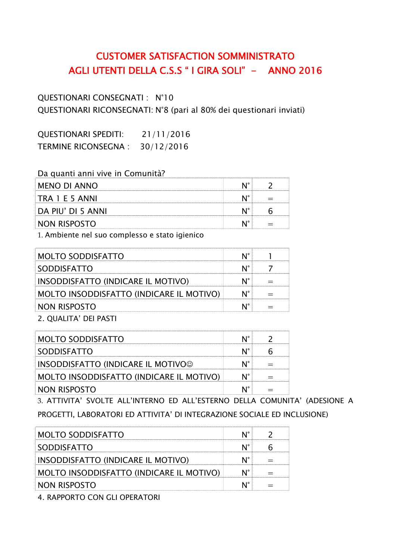## CUSTOMER SATISFACTION SOMMINISTRATO AGLI UTENTI DELLA C.S.S " I GIRA SOLI" - ANNO 2016

QUESTIONARI CONSEGNATI : N°10 QUESTIONARI RICONSEGNATI: N°8 (pari al 80% dei questionari inviati)

QUESTIONARI SPEDITI: 21/11/2016 TERMINE RICONSEGNA : 30/12/2016

| Da quanti anni vive in Comunità? |  |
|----------------------------------|--|
| MENO DI ANNO                     |  |
| TRA 1 E 5 ANNI                   |  |
| DA PIU' DI 5 ANNI                |  |
| NON RISPOSTO                     |  |

1. Ambiente nel suo complesso e stato igienico

| MOLTO SODDISFATTO                        |  |
|------------------------------------------|--|
| <b>SODDISFATTO</b>                       |  |
| INSODDISFATTO (INDICARE IL MOTIVO)       |  |
| MOLTO INSODDISFATTO (INDICARE IL MOTIVO) |  |
| NON RISPOSTO                             |  |
|                                          |  |

2. QUALITA' DEI PASTI

| MOLTO SODDISFATTO                         |  |
|-------------------------------------------|--|
| <b>SODDISFATTO</b>                        |  |
| <b>INSODDISFATTO (INDICARE IL MOTIVO©</b> |  |
| MOLTO INSODDISFATTO (INDICARE IL MOTIVO)  |  |
| NON RISPOSTO                              |  |

3. ATTIVITA' SVOLTE ALL'INTERNO ED ALL'ESTERNO DELLA COMUNITA' (ADESIONE A PROGETTI, LABORATORI ED ATTIVITA' DI INTEGRAZIONE SOCIALE ED INCLUSIONE)

| <b>MOLTO SODDISFATTO</b>                 |  |
|------------------------------------------|--|
| SODDISFATTO                              |  |
| INSODDISFATTO (INDICARE IL MOTIVO)       |  |
| MOLTO INSODDISFATTO (INDICARE IL MOTIVO) |  |
| NON RISPOSTO                             |  |

4. RAPPORTO CON GLI OPERATORI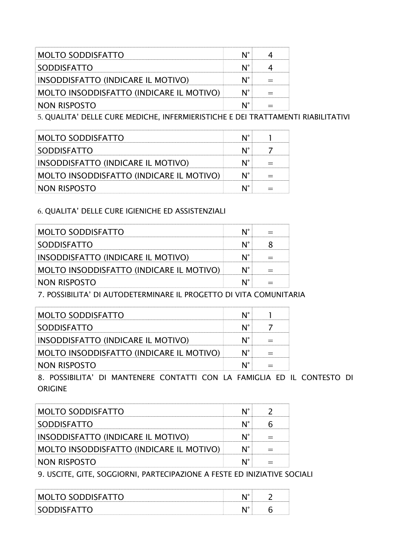| <b>MOLTO SODDISFATTO</b>                 |  |
|------------------------------------------|--|
| SODDISFATTO                              |  |
| INSODDISFATTO (INDICARE IL MOTIVO)       |  |
| MOLTO INSODDISFATTO (INDICARE IL MOTIVO) |  |
| NON RISPOSTO                             |  |

5. QUALITA' DELLE CURE MEDICHE, INFERMIERISTICHE E DEI TRATTAMENTI RIABILITATIVI

| <b>MOLTO SODDISFATTO</b>                 |  |
|------------------------------------------|--|
| <b>SODDISFATTO</b>                       |  |
| INSODDISFATTO (INDICARE IL MOTIVO)       |  |
| MOLTO INSODDISFATTO (INDICARE IL MOTIVO) |  |
| NON RISPOSTO                             |  |

## 6. QUALITA' DELLE CURE IGIENICHE ED ASSISTENZIALI

| <b>MOLTO SODDISFATTO</b>                 |  |
|------------------------------------------|--|
| <b>SODDISFATTO</b>                       |  |
| INSODDISFATTO (INDICARE IL MOTIVO)       |  |
| MOLTO INSODDISFATTO (INDICARE IL MOTIVO) |  |
| NON RISPOSTO                             |  |

7. POSSIBILITA' DI AUTODETERMINARE IL PROGETTO DI VITA COMUNITARIA

| <b>MOLTO SODDISFATTO</b>                                 |  |
|----------------------------------------------------------|--|
| <b>SODDISFATTO</b>                                       |  |
| INSODDISFATTO (INDICARE IL MOTIVO)                       |  |
| MOLTO INSODDISFATTO (INDICARE IL MOTIVO)                 |  |
| NON RISPOSTO                                             |  |
| <b>DOCCIBULTA!</b> DI MANITEMENE CONTATTI COM LA FAMICUA |  |

8. POSSIBILITA' DI MANTENERE CONTATTI CON LA FAMIGLIA ED IL CONTESTO DI ORIGINE

| MOLTO SODDISFATTO                                                |  |
|------------------------------------------------------------------|--|
| <b>SODDISFATTO</b>                                               |  |
| INSODDISFATTO (INDICARE IL MOTIVO)                               |  |
| MOLTO INSODDISFATTO (INDICARE IL MOTIVO)                         |  |
| NON RISPOSTO                                                     |  |
| A LICCITE CITE COCCIONAL BARTECIBAZIONE A FECTE EN INIZIATIVE CA |  |

9. USCITE, GITE, SOGGIORNI, PARTECIPAZIONE A FESTE ED INIZIATIVE SOCIALI

| MOLTO SODDISFATT(  |  |
|--------------------|--|
| <b>SODDISEATTO</b> |  |